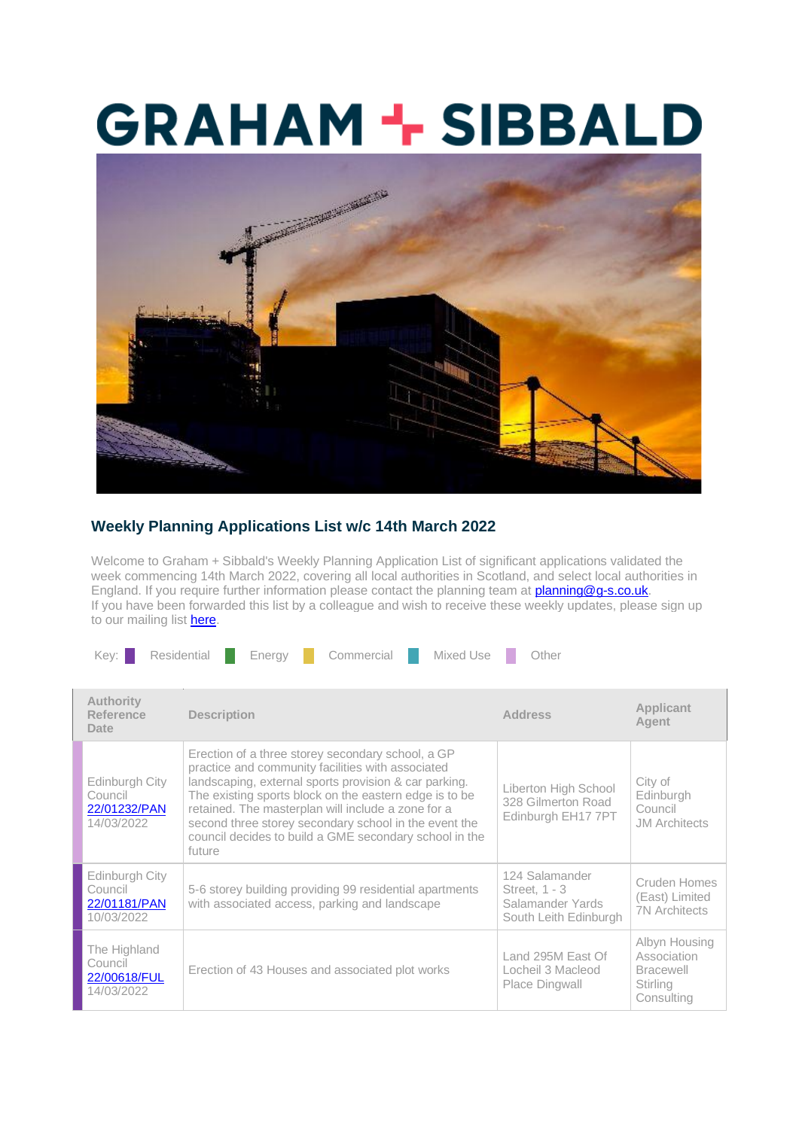## **GRAHAM + SIBBALD**



## **Weekly Planning Applications List w/c 14th March 2022**

Welcome to Graham + Sibbald's Weekly Planning Application List of significant applications validated the week commencing 14th March 2022, covering all local authorities in Scotland, and select local authorities in England. If you require further information please contact the planning team at **planning@q-s.co.uk.** If you have been forwarded this list by a colleague and wish to receive these weekly updates, please sign up to our mailing list **here**.

|  | Key: I | Residential | Enerav | Commercial | Mixed Use | Other |
|--|--------|-------------|--------|------------|-----------|-------|
|--|--------|-------------|--------|------------|-----------|-------|

| <b>Authority</b><br>Reference<br>Date                   | <b>Description</b>                                                                                                                                                                                                                                                                                                                                                                                           | <b>Address</b>                                                               | Applicant<br>Agent                                                                |
|---------------------------------------------------------|--------------------------------------------------------------------------------------------------------------------------------------------------------------------------------------------------------------------------------------------------------------------------------------------------------------------------------------------------------------------------------------------------------------|------------------------------------------------------------------------------|-----------------------------------------------------------------------------------|
| Edinburgh City<br>Council<br>22/01232/PAN<br>14/03/2022 | Erection of a three storey secondary school, a GP<br>practice and community facilities with associated<br>landscaping, external sports provision & car parking.<br>The existing sports block on the eastern edge is to be<br>retained. The masterplan will include a zone for a<br>second three storey secondary school in the event the<br>council decides to build a GME secondary school in the<br>future | Liberton High School<br>328 Gilmerton Road<br>Edinburgh EH17 7PT             | City of<br>Edinburgh<br>Council<br><b>JM</b> Architects                           |
| Edinburgh City<br>Council<br>22/01181/PAN<br>10/03/2022 | 5-6 storey building providing 99 residential apartments<br>with associated access, parking and landscape                                                                                                                                                                                                                                                                                                     | 124 Salamander<br>Street, 1 - 3<br>Salamander Yards<br>South Leith Edinburgh | Cruden Homes<br>(East) Limited<br><b>7N</b> Architects                            |
| The Highland<br>Council<br>22/00618/FUL<br>14/03/2022   | Erection of 43 Houses and associated plot works                                                                                                                                                                                                                                                                                                                                                              | Land 295M East Of<br>Locheil 3 Macleod<br>Place Dingwall                     | Albyn Housing<br>Association<br><b>Bracewell</b><br><b>Stirling</b><br>Consulting |